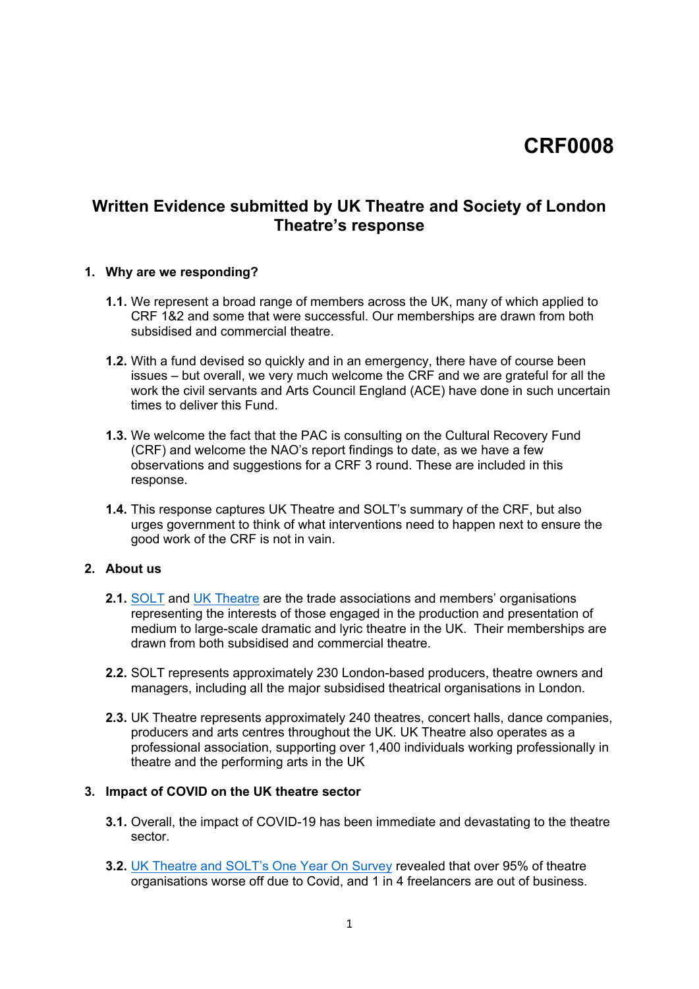# **CRF0008**

# **Written Evidence submitted by UK Theatre and Society of London Theatre's response**

#### **1. Why are we responding?**

- **1.1.** We represent a broad range of members across the UK, many of which applied to CRF 1&2 and some that were successful. Our memberships are drawn from both subsidised and commercial theatre.
- **1.2.** With a fund devised so quickly and in an emergency, there have of course been issues – but overall, we very much welcome the CRF and we are grateful for all the work the civil servants and Arts Council England (ACE) have done in such uncertain times to deliver this Fund.
- **1.3.** We welcome the fact that the PAC is consulting on the Cultural Recovery Fund (CRF) and welcome the NAO's report findings to date, as we have a few observations and suggestions for a CRF 3 round. These are included in this response.
- **1.4.** This response captures UK Theatre and SOLT's summary of the CRF, but also urges government to think of what interventions need to happen next to ensure the good work of the CRF is not in vain.

#### **2. About us**

- **2.1.** [SOLT](http://solt.co.uk/) and [UK](https://uktheatre.org/) [Theatre](https://uktheatre.org/) are the trade associations and members' organisations representing the interests of those engaged in the production and presentation of medium to large-scale dramatic and lyric theatre in the UK. Their memberships are drawn from both subsidised and commercial theatre.
- **2.2.** SOLT represents approximately 230 London-based producers, theatre owners and managers, including all the major subsidised theatrical organisations in London.
- **2.3.** UK Theatre represents approximately 240 theatres, concert halls, dance companies, producers and arts centres throughout the UK. UK Theatre also operates as a professional association, supporting over 1,400 individuals working professionally in theatre and the performing arts in the UK

### **3. Impact of COVID on the UK theatre sector**

- **3.1.** Overall, the impact of COVID-19 has been immediate and devastating to the theatre sector.
- **3.2.** [UK](https://uktheatre.org/theatre-industry/news/one-year-on-uk-theatres-mark-a-year-of-covid-shutdown/) [Theatre](https://uktheatre.org/theatre-industry/news/one-year-on-uk-theatres-mark-a-year-of-covid-shutdown/) [and](https://uktheatre.org/theatre-industry/news/one-year-on-uk-theatres-mark-a-year-of-covid-shutdown/) [SOLT's](https://uktheatre.org/theatre-industry/news/one-year-on-uk-theatres-mark-a-year-of-covid-shutdown/) [One](https://uktheatre.org/theatre-industry/news/one-year-on-uk-theatres-mark-a-year-of-covid-shutdown/) [Year](https://uktheatre.org/theatre-industry/news/one-year-on-uk-theatres-mark-a-year-of-covid-shutdown/) [On](https://uktheatre.org/theatre-industry/news/one-year-on-uk-theatres-mark-a-year-of-covid-shutdown/) [Survey](https://uktheatre.org/theatre-industry/news/one-year-on-uk-theatres-mark-a-year-of-covid-shutdown/) revealed that over 95% of theatre organisations worse off due to Covid, and 1 in 4 freelancers are out of business.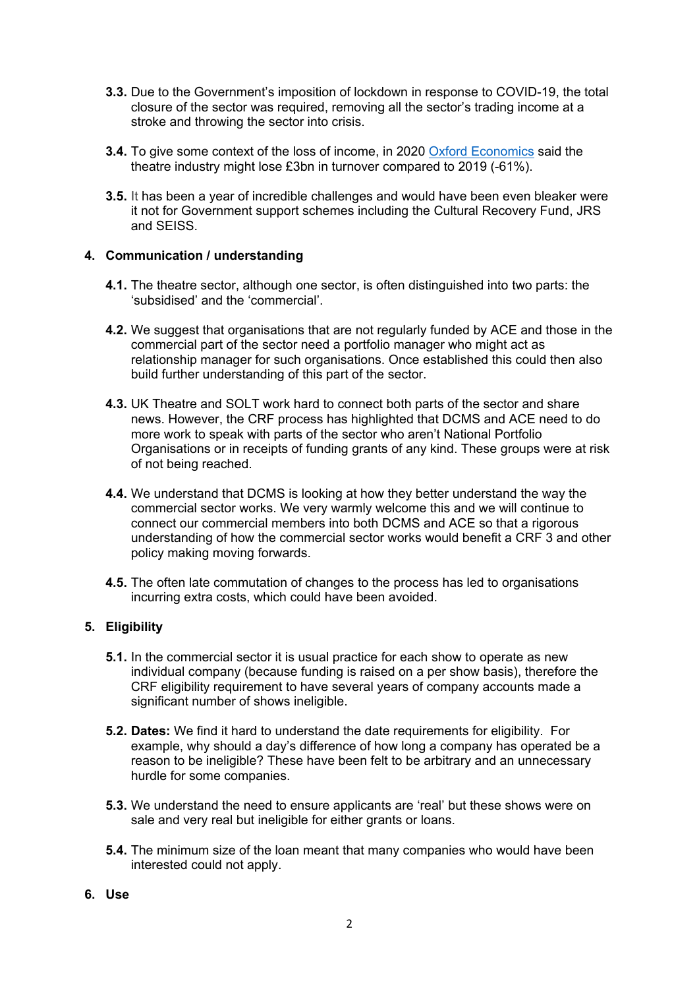- **3.3.** Due to the Government's imposition of lockdown in response to COVID-19, the total closure of the sector was required, removing all the sector's trading income at a stroke and throwing the sector into crisis.
- **3.4.** To give some context of the loss of income, in 2020 [Oxford](https://www.creativeindustriesfederation.com/sites/default/files/inline-images/20200716_OE_Slides_new%20ACE%20data%20-%20Clean%20-%20with%20NEMO%20caveat.pdf) [Economics](https://www.creativeindustriesfederation.com/sites/default/files/inline-images/20200716_OE_Slides_new%20ACE%20data%20-%20Clean%20-%20with%20NEMO%20caveat.pdf) said the theatre industry might lose £3bn in turnover compared to 2019 (-61%).
- **3.5.** It has been a year of incredible challenges and would have been even bleaker were it not for Government support schemes including the Cultural Recovery Fund, JRS and SEISS.

### **4. Communication / understanding**

- **4.1.** The theatre sector, although one sector, is often distinguished into two parts: the 'subsidised' and the 'commercial'.
- **4.2.** We suggest that organisations that are not regularly funded by ACE and those in the commercial part of the sector need a portfolio manager who might act as relationship manager for such organisations. Once established this could then also build further understanding of this part of the sector.
- **4.3.** UK Theatre and SOLT work hard to connect both parts of the sector and share news. However, the CRF process has highlighted that DCMS and ACE need to do more work to speak with parts of the sector who aren't National Portfolio Organisations or in receipts of funding grants of any kind. These groups were at risk of not being reached.
- **4.4.** We understand that DCMS is looking at how they better understand the way the commercial sector works. We very warmly welcome this and we will continue to connect our commercial members into both DCMS and ACE so that a rigorous understanding of how the commercial sector works would benefit a CRF 3 and other policy making moving forwards.
- **4.5.** The often late commutation of changes to the process has led to organisations incurring extra costs, which could have been avoided.

### **5. Eligibility**

- **5.1.** In the commercial sector it is usual practice for each show to operate as new individual company (because funding is raised on a per show basis), therefore the CRF eligibility requirement to have several years of company accounts made a significant number of shows ineligible.
- **5.2. Dates:** We find it hard to understand the date requirements for eligibility. For example, why should a day's difference of how long a company has operated be a reason to be ineligible? These have been felt to be arbitrary and an unnecessary hurdle for some companies.
- **5.3.** We understand the need to ensure applicants are 'real' but these shows were on sale and very real but ineligible for either grants or loans.
- **5.4.** The minimum size of the loan meant that many companies who would have been interested could not apply.
- **6. Use**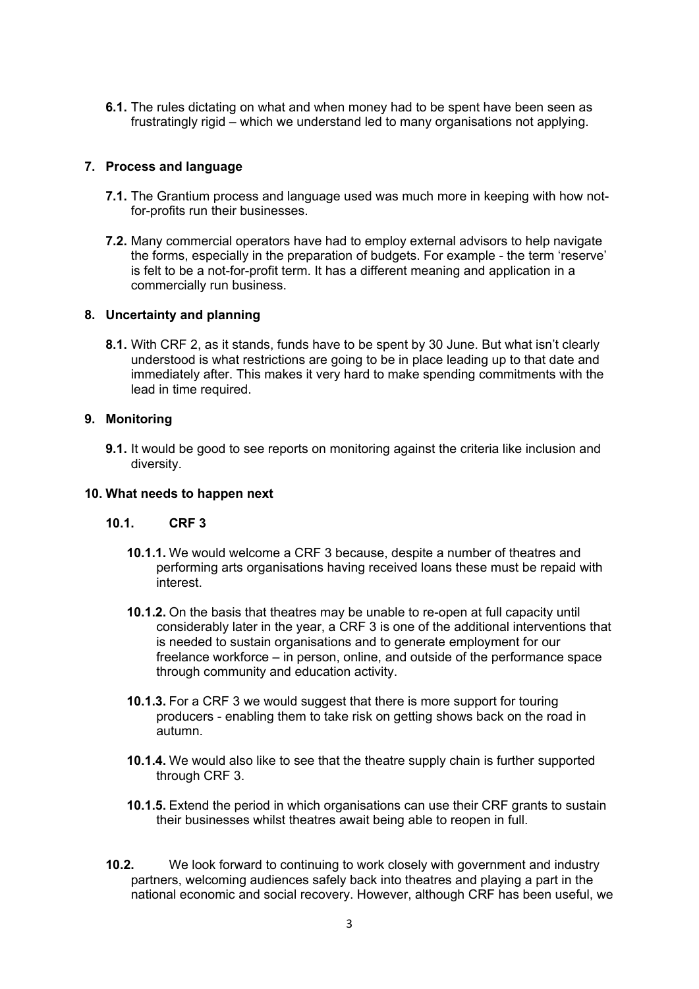**6.1.** The rules dictating on what and when money had to be spent have been seen as frustratingly rigid – which we understand led to many organisations not applying.

## **7. Process and language**

- **7.1.** The Grantium process and language used was much more in keeping with how notfor-profits run their businesses.
- **7.2.** Many commercial operators have had to employ external advisors to help navigate the forms, especially in the preparation of budgets. For example - the term 'reserve' is felt to be a not-for-profit term. It has a different meaning and application in a commercially run business.

### **8. Uncertainty and planning**

**8.1.** With CRF 2, as it stands, funds have to be spent by 30 June. But what isn't clearly understood is what restrictions are going to be in place leading up to that date and immediately after. This makes it very hard to make spending commitments with the lead in time required.

#### **9. Monitoring**

**9.1.** It would be good to see reports on monitoring against the criteria like inclusion and diversity.

#### **10. What needs to happen next**

### **10.1. CRF 3**

- **10.1.1.** We would welcome a CRF 3 because, despite a number of theatres and performing arts organisations having received loans these must be repaid with interest.
- **10.1.2.** On the basis that theatres may be unable to re-open at full capacity until considerably later in the year, a CRF 3 is one of the additional interventions that is needed to sustain organisations and to generate employment for our freelance workforce – in person, online, and outside of the performance space through community and education activity.
- **10.1.3.** For a CRF 3 we would suggest that there is more support for touring producers - enabling them to take risk on getting shows back on the road in autumn.
- **10.1.4.** We would also like to see that the theatre supply chain is further supported through CRF 3.
- **10.1.5.** Extend the period in which organisations can use their CRF grants to sustain their businesses whilst theatres await being able to reopen in full.
- **10.2.** We look forward to continuing to work closely with government and industry partners, welcoming audiences safely back into theatres and playing a part in the national economic and social recovery. However, although CRF has been useful, we